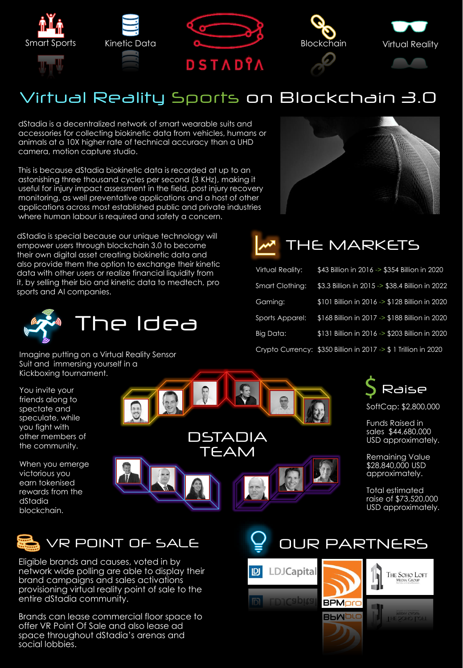





## Virtual Reality Sports on Blockchain 3.0

dStadia is a decentralized network of smart wearable suits and accessories for collecting biokinetic data from vehicles, humans or animals at a 10X higher rate of technical accuracy than a UHD camera, motion capture studio.

This is because dStadia biokinetic data is recorded at up to an astonishing three thousand cycles per second (3 KHz), making it useful for injury impact assessment in the field, post injury recovery monitoring, as well preventative applications and a host of other applications across most established public and private industries where human labour is required and safety a concern.

dStadia is special because our unique technology will empower users through blockchain 3.0 to become their own digital asset creating biokinetic data and also provide them the option to exchange their kinetic data with other users or realize financial liquidity from it, by selling their bio and kinetic data to medtech, pro sports and AI companies.



Imagine putting on a Virtual Reality Sensor Suit and immersing yourself in a Kickboxing tournament.

You invite your friends along to spectate and speculate, while you fight with other members of the community.

When you emerge victorious you earn tokenised rewards from the dStadia blockchain.







| <b>Virtual Reality:</b> | \$43 Billion in 2016 -> \$354 Billion in 2020                  |
|-------------------------|----------------------------------------------------------------|
| Smart Clothing:         | \$3.3 Billion in 2015 -> \$38.4 Billion in 2022                |
| Gaming:                 | \$101 Billion in 2016 -> \$128 Billion in 2020                 |
| Sports Apparel:         | \$168 Billion in 2017 -> \$188 Billion in 2020                 |
| Big Data:               | \$131 Billion in 2016 -> \$203 Billion in 2020                 |
|                         | Crypto Currency: \$350 Billion in 2017 -> \$1 Trillion in 2020 |



SoftCap: \$2,800,000

Funds Raised in sales \$44,680,000 USD approximately.

Remaining Value \$28,840,000 USD approximately.

Total estimated raise of \$73,520,000 USD approximately.



Eligible brands and causes, voted in by network wide polling are able to display their brand campaigns and sales activations provisioning virtual reality point of sale to the entire dStadia community.

Brands can lease commercial floor space to offer VR Point Of Sale and also lease ad space throughout dStadia's arenas and social lobbies.